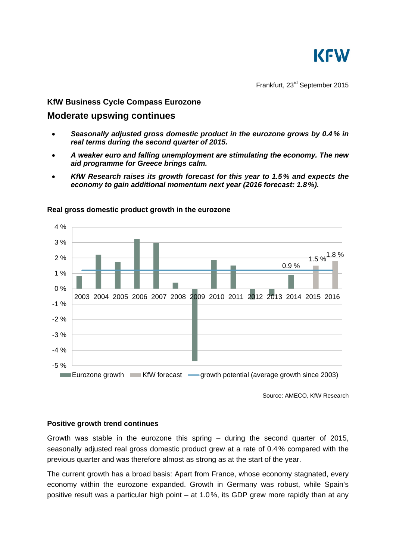

Frankfurt, 23rd September 2015

## **KfW Business Cycle Compass Eurozone**

# **Moderate upswing continues**

- *Seasonally adjusted gross domestic product in the eurozone grows by 0.4% in real terms during the second quarter of 2015.*
- *A weaker euro and falling unemployment are stimulating the economy. The new aid programme for Greece brings calm.*
- *KfW Research raises its growth forecast for this year to 1.5% and expects the economy to gain additional momentum next year (2016 forecast: 1.8%).*



### **Real gross domestic product growth in the eurozone**

Source: AMECO, KfW Research

### **Positive growth trend continues**

Growth was stable in the eurozone this spring – during the second quarter of 2015, seasonally adjusted real gross domestic product grew at a rate of 0.4% compared with the previous quarter and was therefore almost as strong as at the start of the year.

The current growth has a broad basis: Apart from France, whose economy stagnated, every economy within the eurozone expanded. Growth in Germany was robust, while Spain's positive result was a particular high point – at 1.0%, its GDP grew more rapidly than at any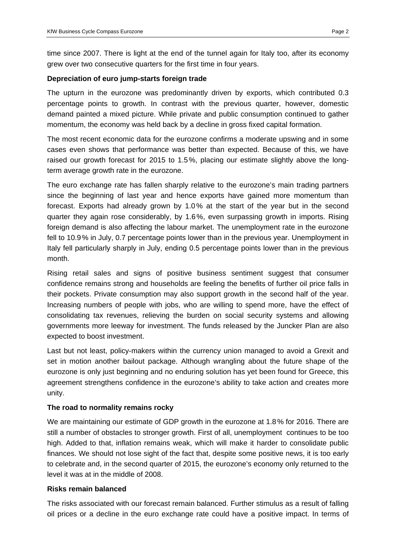time since 2007. There is light at the end of the tunnel again for Italy too, after its economy grew over two consecutive quarters for the first time in four years.

#### **Depreciation of euro jump-starts foreign trade**

The upturn in the eurozone was predominantly driven by exports, which contributed 0.3 percentage points to growth. In contrast with the previous quarter, however, domestic demand painted a mixed picture. While private and public consumption continued to gather momentum, the economy was held back by a decline in gross fixed capital formation.

The most recent economic data for the eurozone confirms a moderate upswing and in some cases even shows that performance was better than expected. Because of this, we have raised our growth forecast for 2015 to 1.5%, placing our estimate slightly above the longterm average growth rate in the eurozone.

The euro exchange rate has fallen sharply relative to the eurozone's main trading partners since the beginning of last year and hence exports have gained more momentum than forecast. Exports had already grown by 1.0% at the start of the year but in the second quarter they again rose considerably, by 1.6%, even surpassing growth in imports. Rising foreign demand is also affecting the labour market. The unemployment rate in the eurozone fell to 10.9% in July, 0.7 percentage points lower than in the previous year. Unemployment in Italy fell particularly sharply in July, ending 0.5 percentage points lower than in the previous month.

Rising retail sales and signs of positive business sentiment suggest that consumer confidence remains strong and households are feeling the benefits of further oil price falls in their pockets. Private consumption may also support growth in the second half of the year. Increasing numbers of people with jobs, who are willing to spend more, have the effect of consolidating tax revenues, relieving the burden on social security systems and allowing governments more leeway for investment. The funds released by the Juncker Plan are also expected to boost investment.

Last but not least, policy-makers within the currency union managed to avoid a Grexit and set in motion another bailout package. Although wrangling about the future shape of the eurozone is only just beginning and no enduring solution has yet been found for Greece, this agreement strengthens confidence in the eurozone's ability to take action and creates more unity.

### **The road to normality remains rocky**

We are maintaining our estimate of GDP growth in the eurozone at 1.8% for 2016. There are still a number of obstacles to stronger growth. First of all, unemployment continues to be too high. Added to that, inflation remains weak, which will make it harder to consolidate public finances. We should not lose sight of the fact that, despite some positive news, it is too early to celebrate and, in the second quarter of 2015, the eurozone's economy only returned to the level it was at in the middle of 2008.

#### **Risks remain balanced**

The risks associated with our forecast remain balanced. Further stimulus as a result of falling oil prices or a decline in the euro exchange rate could have a positive impact. In terms of